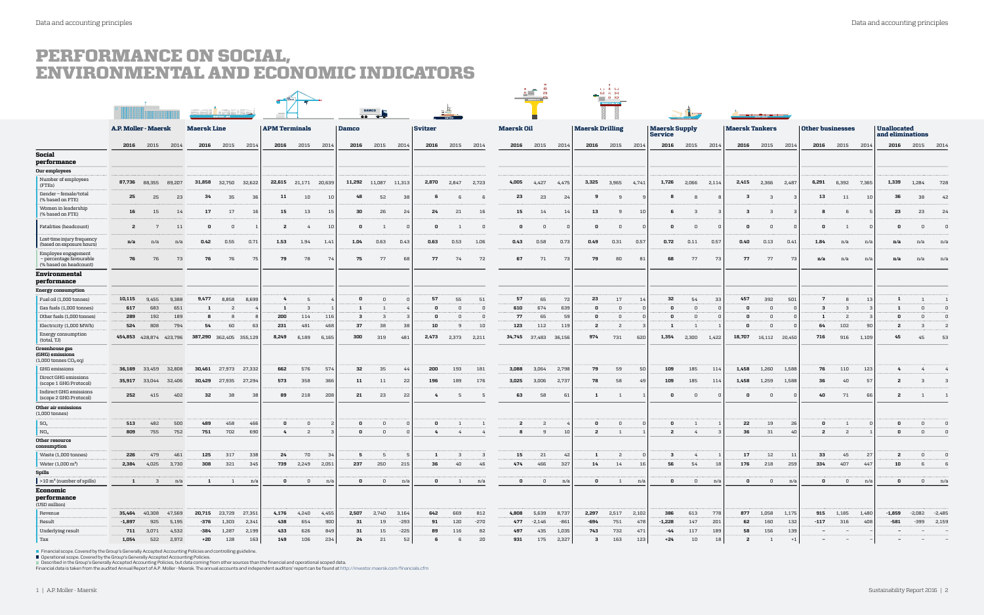## PERFORMANCE ON SOCIAL, ENVIRONMENTAL AND ECONOMIC INDICATORS

|                                                                          |                             |                         |           |                         |                      |        |                      |                         |              |              |                          |                |              |              |                   |                | $\triangleq$<br>- KH    |                        |              | LIB M<br>$\begin{picture}(20,10) \put(0,0){\line(1,0){155}} \put(15,0){\line(1,0){155}} \put(15,0){\line(1,0){155}} \put(15,0){\line(1,0){155}} \put(15,0){\line(1,0){155}} \put(15,0){\line(1,0){155}} \put(15,0){\line(1,0){155}} \put(15,0){\line(1,0){155}} \put(15,0){\line(1,0){155}} \put(15,0){\line(1,0){155}} \put(15,0){\line(1,0){155}} \$ |                                        |              |                |                       |                |                                                                                                                      |                         |                |                          |                                        |                          |                         |                                 |
|--------------------------------------------------------------------------|-----------------------------|-------------------------|-----------|-------------------------|----------------------|--------|----------------------|-------------------------|--------------|--------------|--------------------------|----------------|--------------|--------------|-------------------|----------------|-------------------------|------------------------|--------------|--------------------------------------------------------------------------------------------------------------------------------------------------------------------------------------------------------------------------------------------------------------------------------------------------------------------------------------------------------|----------------------------------------|--------------|----------------|-----------------------|----------------|----------------------------------------------------------------------------------------------------------------------|-------------------------|----------------|--------------------------|----------------------------------------|--------------------------|-------------------------|---------------------------------|
|                                                                          |                             |                         |           |                         |                      |        |                      |                         |              |              | <b>DAMCO</b><br>$00 - 0$ |                |              |              |                   |                |                         |                        |              |                                                                                                                                                                                                                                                                                                                                                        |                                        |              |                |                       |                | <u> I was destroid and de seu an an de seu an an de seu an an de seu an de seu an de seu an de seu an de seu an </u> |                         |                |                          |                                        |                          |                         |                                 |
|                                                                          | <b>A.P. Moller - Maersk</b> |                         |           | <b>Maersk Line</b>      |                      |        | <b>APM Terminals</b> |                         | <b>Damco</b> |              |                          | <b>Svitzer</b> |              |              | <b>Maersk Oil</b> |                |                         | <b>Maersk Drilling</b> |              |                                                                                                                                                                                                                                                                                                                                                        | <b>Maersk Supply</b><br><b>Service</b> |              |                | <b>Maersk Tankers</b> |                |                                                                                                                      | <b>Other businesses</b> |                |                          | <b>Unallocated</b><br>and eliminations |                          |                         |                                 |
|                                                                          | 2016                        | 2015                    | 2014      | 2016                    | 2015                 | 2014   | 2016                 | 2015                    | 2014         | 2016         | 2015                     | 2014           | 2016         | 2015         | 2014              |                | 2016 2015               | 2014                   | 2016         | 2015                                                                                                                                                                                                                                                                                                                                                   | 2014                                   | 2016         | 2015           | 2014                  | 2016           | 2015                                                                                                                 | 2014                    | 2016           | 2015                     | 2014                                   |                          | 2016 2015 2014          |                                 |
| Social<br>performance                                                    |                             |                         |           |                         |                      |        |                      |                         |              |              |                          |                |              |              |                   |                |                         |                        |              |                                                                                                                                                                                                                                                                                                                                                        |                                        |              |                |                       |                |                                                                                                                      |                         |                |                          |                                        |                          |                         |                                 |
| Our employees                                                            |                             |                         |           |                         |                      |        |                      |                         |              |              |                          |                |              |              |                   |                |                         |                        |              |                                                                                                                                                                                                                                                                                                                                                        |                                        |              |                |                       |                |                                                                                                                      |                         |                |                          |                                        |                          |                         |                                 |
| Number of employees<br>(FTEs)                                            | 87,736                      | 88,355                  | 89,207    | 31,858                  | 32,750               | 32,622 |                      | 22,615 21,171 20,639    |              |              | 11,292 11,087 11,313     |                | 2,870        | 2,847        | 2,723             | 4,005          | 4,427                   | 4,475                  | 3,325        | 3,965                                                                                                                                                                                                                                                                                                                                                  | 4,741                                  | 1,726        | 2,066          | 2,114                 | 2,415          | 2,366                                                                                                                | 2,487                   | 6,291          | 6,392                    | 7,365                                  | 1,339                    | 1,284                   | 728                             |
| Gender-female/total<br>(% based on FTE)                                  | 25                          | 25                      | 23        | 34                      | 35                   | 36     | 11                   | 10                      | 10           | 48           | 52                       | 38             | 6.           |              | - 6               | 23             | 23                      | 24                     | 9            | 9                                                                                                                                                                                                                                                                                                                                                      |                                        | -8           | -8             |                       | 3              | 3                                                                                                                    |                         | 13             | 11                       | 10                                     | 36                       | 38                      | 42                              |
| Women in leadership<br>(% based on FTE)                                  | 16                          | 15                      | 14        | 17                      | 17                   | 16     | 15                   | 13                      | 15           | 30           | 26                       | -24            | 24           | 21           | 16                | 15             | 14                      | 14                     | 13           | 9                                                                                                                                                                                                                                                                                                                                                      | -10                                    | 6            | 3              |                       | 3              | - 3                                                                                                                  |                         | 8              | 6                        |                                        | 23                       | 23                      | -24                             |
| Fatalities (headcount)                                                   | -2                          | $7\overline{ }$         | 11        | 0                       | 0                    |        | $\overline{a}$       | 4                       | 10           | 0            |                          |                | 0            |              | - 0               | 0              | $\overline{\mathbf{0}}$ |                        | 0            | $\Omega$                                                                                                                                                                                                                                                                                                                                               |                                        | 0            | $\Omega$       |                       | n              | 0                                                                                                                    |                         | $\mathbf 0$    |                          |                                        | 0                        | $\Omega$                |                                 |
| Lost-time injury frequency<br>(based on exposure hours)                  | n/a                         | n/a                     | n/a       | 0.42                    | 0.55                 | 0.71   | 1.53                 | 1.94                    | 1.41         | 1.04         | 0.63                     | 0.43           | 0.63         | 0.53         | 1.06              | 0.43           | 0.58                    | 0.73                   | 0.49         | 0.31                                                                                                                                                                                                                                                                                                                                                   | 0.57                                   | 0.72         | 0.11           | 0.57                  | 0.40           | 0.13                                                                                                                 | 0.41                    | 1.84           | n/a                      | n/a                                    | n/a                      | n/a                     | n/a                             |
| Employee engagement<br>- percentage favourable<br>(% based on headcount) | 76                          | 76                      | 73        | 76                      | 76                   | 75     | 79                   | 78                      | 74           | 75           | 77                       | 68             | 77           | 74           | 72                | 67             | 71                      | 73                     | -79          | 80                                                                                                                                                                                                                                                                                                                                                     | B'                                     | 68           | 77             | 73                    | 77             | 77                                                                                                                   | 73                      | n/a            | n/a                      | n/a                                    | n/a                      | n/a                     | n/a                             |
| Environmental<br>performance                                             |                             |                         |           |                         |                      |        |                      |                         |              |              |                          |                |              |              |                   |                |                         |                        |              |                                                                                                                                                                                                                                                                                                                                                        |                                        |              |                |                       |                |                                                                                                                      |                         |                |                          |                                        |                          |                         |                                 |
| <b>Energy consumption</b>                                                |                             |                         |           |                         |                      |        |                      |                         |              |              |                          |                |              |              |                   |                |                         |                        |              |                                                                                                                                                                                                                                                                                                                                                        |                                        |              |                |                       |                |                                                                                                                      |                         |                |                          |                                        |                          |                         |                                 |
| Fuel oil (1,000 tonnes)                                                  | 10,115                      | 9,455                   | 9,388     | 9,477                   | 8,858                | 8,699  | 4                    |                         |              | 0            | $\Omega$                 |                | 57           | 55           | 51                | 57             | 65                      | 72                     | 23           | 17                                                                                                                                                                                                                                                                                                                                                     | -14                                    | 32           | 54             | 33                    | 457            | 392                                                                                                                  | 501                     | 7              |                          | 13                                     | -1                       |                         | 1                               |
| Gas fuels (1,000 tonnes)                                                 | 617                         | 683                     | 651       | 1                       | -2                   |        | 1                    | $\overline{\mathbf{3}}$ |              | $\mathbf{1}$ | $\overline{1}$           |                | n            |              | 0                 | 610            | 674                     | 639                    | $\Omega$     | $\Omega$                                                                                                                                                                                                                                                                                                                                               |                                        | $\mathsf{n}$ | $\sqrt{ }$     | n                     | n              | $\mathbf 0$                                                                                                          | $\Omega$                | $\mathbf{3}$   | - 3                      |                                        | $\mathbf{1}$             | $\overline{0}$          | $\overline{0}$                  |
| Other fuels (1,000 tonnes)                                               | 289                         | 192                     | 189       |                         |                      |        | 200                  | 114                     | 116          | $\mathbf{3}$ | 3                        |                | 0            |              | - 0               | 77             | 65                      | 59                     | 0            | $\Omega$                                                                                                                                                                                                                                                                                                                                               |                                        | 0            | $\Omega$       | $\Omega$              |                | $\Omega$                                                                                                             |                         | 1              | -2                       | -3                                     | 0                        | $\Omega$                |                                 |
| Electricity (1,000 MWh)                                                  | 524                         | 808                     | 794       | 54                      | 60                   | 63     | 231                  | 481                     | 468          | 37           | 38                       | 38             | 10           |              | 10                | 123            | 112                     | 119                    | -2           | -2                                                                                                                                                                                                                                                                                                                                                     |                                        | -1           | $\overline{1}$ |                       |                | $\overline{0}$                                                                                                       |                         | 64             | 102                      | 90                                     | -2                       | - 3                     | -2                              |
| Energy consumption<br>(total, TJ)                                        |                             | 454,853 428,874 423,796 |           | 387,290 362,405 355,129 |                      |        | 8,249                | 6,189                   | 6,165        | 300          | 319                      | 481            | 2,473        | 2,373        | 2,211             |                | 34,745 37,483           | 36,156                 | 974          | 731                                                                                                                                                                                                                                                                                                                                                    | 620                                    | 1,354        | 2,300          | 1,422                 | 18,707         | 16,112 20,450                                                                                                        |                         | 716            | 916 1,109                |                                        | 45                       | 45                      | 53                              |
| Greenhouse gas<br>(GHG) emissions<br>$(1,000$ tonnes $CO2$ eq)           |                             |                         |           |                         |                      |        |                      |                         |              |              |                          |                |              |              |                   |                |                         |                        |              |                                                                                                                                                                                                                                                                                                                                                        |                                        |              |                |                       |                |                                                                                                                      |                         |                |                          |                                        |                          |                         |                                 |
| <b>GHG</b> emissions                                                     |                             | 36,169 33,459 32,808    |           | 30,461                  | 27,973 27,332        |        | 662                  | 576                     | 574          | 32           | 35                       | 44             | 200          | 193          | 181               | 3,088          | 3,064                   | 2,798                  | 79           | 59                                                                                                                                                                                                                                                                                                                                                     | -50                                    | 109          | 185            | 114                   | 1,458          | 1,260                                                                                                                | 1,588                   | 76             | 110                      | 123                                    | 4                        | 4                       |                                 |
| Direct GHG emissions<br>(scope 1 GHG Protocol)                           | 35,917                      | 33,044                  | 32,406    | 30,429                  | 27,935               | 27,294 | 573                  | 358                     | 366          | 11           | 11                       | -22            | 196          | 189          | 176               | 3,025          | 3,006                   | 2,737                  | 78           | 58                                                                                                                                                                                                                                                                                                                                                     | -49                                    | 109          | 185            | 114                   | 1,458          | 1,259                                                                                                                | 1,588                   | 36             | 40                       | 57                                     | -2                       | 3                       | 3                               |
| Indirect GHG emissions<br>(scope 2 GHG Protocol)                         | 252                         | 415                     | 402       | 32                      | 38                   | 38     | 89                   | 218                     | 208          | 21           | 23                       | -22            | 4            | - 5          | - 5               | 63             | 58                      | 61                     | 1            | $\overline{1}$                                                                                                                                                                                                                                                                                                                                         |                                        | 0            | $\overline{0}$ | $\Omega$              | $\Omega$       | 0                                                                                                                    |                         | 40             | 71                       | 66                                     | -2                       | 1                       |                                 |
| Other air emissions<br>$(1,000 \text{ tonnes})$                          |                             |                         |           |                         |                      |        |                      |                         |              |              |                          |                |              |              |                   |                |                         |                        |              |                                                                                                                                                                                                                                                                                                                                                        |                                        |              |                |                       |                |                                                                                                                      |                         |                |                          |                                        |                          |                         |                                 |
| SO <sub>x</sub>                                                          | 513                         | 482                     | 500       | 489                     | 458                  | 466    | 0                    | 0                       |              | 0            | 0                        | - 0            | 0            | $\sim$ 1     | $\overline{1}$    | $\overline{a}$ | -2                      |                        | 0            | $\overline{0}$                                                                                                                                                                                                                                                                                                                                         |                                        | 0            | -1             |                       | 22             | 19                                                                                                                   | -26                     | 0              | 1                        |                                        | 0                        | $\overline{\mathbf{0}}$ |                                 |
| NO <sub>x</sub>                                                          | 809                         | 755                     | 752       | 751                     | 702                  | 690    | 4                    | $\overline{\mathbf{2}}$ |              | 0            | $\overline{\mathbf{0}}$  |                | $4^{\circ}$  | 4            | $\frac{4}{3}$     | 8              | 9                       | 10                     | -2           | $\mathbf{1}$                                                                                                                                                                                                                                                                                                                                           |                                        | -2           | 4              |                       | 36             | 31                                                                                                                   | 40                      | $\overline{a}$ | $\overline{2}$           |                                        | 0                        | $\overline{0}$          |                                 |
| Other resource<br>consumption                                            |                             |                         |           |                         |                      |        |                      |                         |              |              |                          |                |              |              |                   |                |                         |                        |              |                                                                                                                                                                                                                                                                                                                                                        |                                        |              |                |                       |                |                                                                                                                      |                         |                |                          |                                        |                          |                         |                                 |
| Waste (1,000 tonnes)                                                     | 226                         | 479                     | 461       | 125                     | 317                  | 338    | 24                   | 70                      | 34           | 5            | -5                       | - 5            | 1            | $\mathbf{B}$ | - 3               | 15             | 21                      | 42                     | 1            | $\overline{a}$                                                                                                                                                                                                                                                                                                                                         |                                        | $\mathbf{3}$ | $4^{\circ}$    | $\overline{1}$        | 17             | 12                                                                                                                   | 11                      | 33             | 45                       | 27                                     | $\overline{a}$           | $\overline{0}$          | $\overline{0}$                  |
| Water $(1,000 \text{ m}^3)$                                              |                             | 2,384 4,025 3,730       |           | 308                     | 321                  | 345    |                      | 739 2,249 2,051         |              | 237          | 250                      | 215            | 36           | 40           | 46                | 474            | 466                     | 327                    | 14           | 14                                                                                                                                                                                                                                                                                                                                                     | 16                                     | 56           | 54             | 18                    | 176            |                                                                                                                      | 218 259                 | 334            | 407                      | 447                                    | 10                       | 6                       |                                 |
| Spills                                                                   |                             |                         |           |                         |                      |        |                      |                         |              |              |                          |                |              |              |                   |                |                         |                        |              |                                                                                                                                                                                                                                                                                                                                                        |                                        |              |                |                       |                |                                                                                                                      |                         |                |                          |                                        |                          |                         |                                 |
| $>10 \text{ m}^3$ (number of spills)<br>Economic                         | 1                           | $\overline{\mathbf{3}}$ | n/a       | 1                       | $\overline{1}$       | n/a    | $\mathbf{0}$         | $\overline{0}$          | n/a          | 0            | $\overline{0}$           | n/a            | $\mathbf{0}$ | $\mathbf{1}$ | n/a               | $\mathbf 0$    | $\overline{0}$          | n/a                    | $\mathbf{0}$ | $\overline{1}$                                                                                                                                                                                                                                                                                                                                         | n/a                                    | $\mathbf{0}$ | $\overline{0}$ | n/a                   | $\mathbf 0$    | $\mathbf 0$                                                                                                          | n/a                     | $\mathbf 0$    | $\mathbf{0}$             | n/a                                    | 0                        | $\mathbf{0}$            | n/a                             |
| performance<br>(USD million)                                             |                             |                         |           |                         |                      |        |                      |                         |              |              |                          |                |              |              |                   |                |                         |                        |              |                                                                                                                                                                                                                                                                                                                                                        |                                        |              |                |                       |                |                                                                                                                      |                         |                |                          |                                        |                          |                         |                                 |
| Revenue                                                                  | 35,464                      | 40,308                  | 47,569    |                         | 20,715 23,729 27,351 |        | 4,176                | 4,240                   | 4,455        | 2,507        | 2,740                    | 3,164          | 642          | 669          | 812               | 4,808          | 5,639                   | 8,737                  | 2,297        | 2,517                                                                                                                                                                                                                                                                                                                                                  | 2,102                                  | 386          | 613            | 778                   | 877            |                                                                                                                      | 1,058 1,175             | 915            | 1,185 1,480              |                                        | $-1,859$                 | $-2,082 -2,485$         |                                 |
| Result                                                                   | $-1,897$                    | 925                     | 5,195     | -376                    | 1,303                | 2,341  | 438                  | 654                     | 900          | 31           | 19                       | -293           | 91           | 120          | $-270$            | 477            | $-2,146$                | -861                   | -694         | 751                                                                                                                                                                                                                                                                                                                                                    | 478                                    | $-1,228$     | 147            | 201                   | 62             | 160                                                                                                                  | 132                     | $-117$         | 316                      | 408                                    | -581                     | $-399$ 2,159            |                                 |
| Underlying result                                                        | 711                         | 3,071                   | 4,532     | $-384$                  | 1,287                | 2,199  | 433                  | 626                     | 849          | 31           | 15                       | $-225$         | 89           | 116          | 82                | 497            | 435                     | 1,035                  | 743          | 732                                                                                                                                                                                                                                                                                                                                                    | 471                                    | $-44$        | 117            | 189                   | 58             | 156                                                                                                                  | 139                     | $\sim$         | $-$                      |                                        | $\overline{\phantom{a}}$ | $\sim$                  | $\sim$ $-$                      |
| Tax                                                                      | 1,054                       |                         | 522 2,972 | +20                     | 128                  | 163    | 149                  | 106                     | 234          | 24           | 21                       | 52             | 6            | -6           | 20                | 931            | 175                     | 2,327                  | $\mathbf{3}$ | 163                                                                                                                                                                                                                                                                                                                                                    | 123                                    | $+24$        | 10             | 18                    | $\overline{a}$ | 1                                                                                                                    | $+1$                    | $-$            | $\overline{\phantom{a}}$ |                                        | $\sim$                   | $-$                     | $\hspace{0.1mm}-\hspace{0.1mm}$ |

■ Financial scope. Covered by the Group's Generally Accepted Accounting Policies and controlling guideline.<br>■ Operational scope. Covered by the Group's Generally Accepted Accounting Policies.<br>■ Described in the Group's Ge

#### 1 | A.P. Moller - Maersk Sustainability Report 2016 | 2